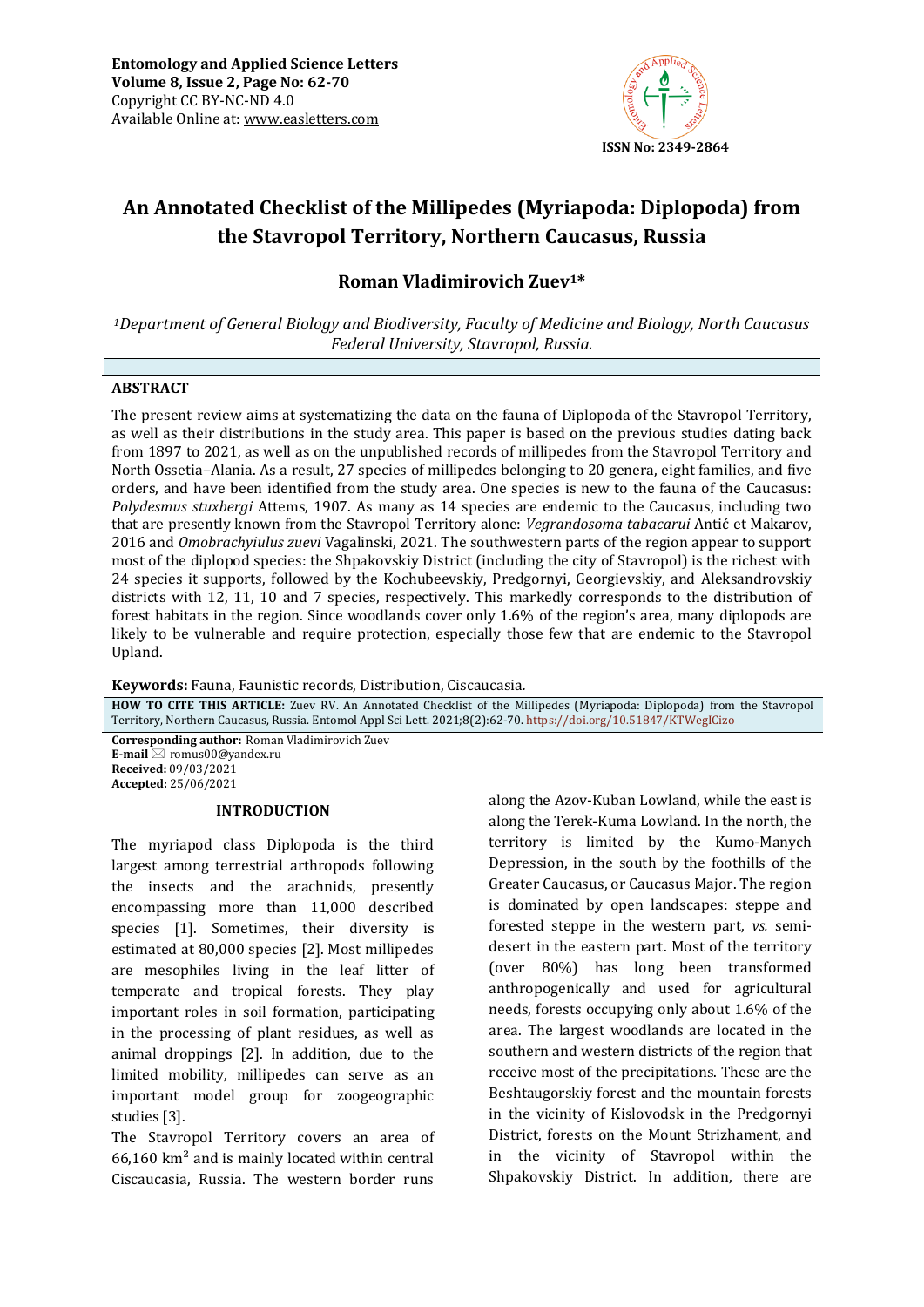

# **An Annotated Checklist of the Millipedes (Myriapoda: Diplopoda) from the Stavropol Territory, Northern Caucasus, Russia**

# **Roman Vladimirovich Zuev1\***

*<sup>1</sup>Department of General Biology and Biodiversity, Faculty of Medicine and Biology, North Caucasus Federal University, Stavropol, Russia.*

#### **ABSTRACT**

The present review aims at systematizing the data on the fauna of Diplopoda of the Stavropol Territory, as well as their distributions in the study area. This paper is based on the previous studies dating back from 1897 to 2021, as well as on the unpublished records of millipedes from the Stavropol Territory and North Ossetia–Alania. As a result, 27 species of millipedes belonging to 20 genera, eight families, and five orders, and have been identified from the study area. One species is new to the fauna of the Caucasus: *Polydesmus stuxbergi* Attems, 1907. As many as 14 species are endemic to the Caucasus, including two that are presently known from the Stavropol Territory alone: *Vegrandosoma tabacarui* Antić et Makarov, 2016 and *Omobrachyiulus zuevi* Vagalinski, 2021. The southwestern parts of the region appear to support most of the diplopod species: the Shpakovskiy District (including the city of Stavropol) is the richest with 24 species it supports, followed by the Kochubeevskiy, Predgornyi, Georgievskiy, and Aleksandrovskiy districts with 12, 11, 10 and 7 species, respectively. This markedly corresponds to the distribution of forest habitats in the region. Since woodlands cover only 1.6% of the region's area, many diplopods are likely to be vulnerable and require protection, especially those few that are endemic to the Stavropol Upland.

**Keywords:** Fauna, Faunistic records, Distribution, Ciscaucasia*.*

**HOW TO CITE THIS ARTICLE:** Zuev RV. An Annotated Checklist of the Millipedes (Myriapoda: Diplopoda) from the Stavropol Territory, Northern Caucasus, Russia. Entomol Appl Sci Lett. 2021;8(2):62-70. <https://doi.org/10.51847/KTWegICizo>

**Corresponding author:** Roman Vladimirovich Zuev **E-mail**  $\⊠$  romus00@vandex.ru **Received:** 09/03/2021 **Accepted:** 25/06/2021

#### **INTRODUCTION**

The myriapod class Diplopoda is the third largest among terrestrial arthropods following the insects and the arachnids, presently encompassing more than 11,000 described species [1]. Sometimes, their diversity is estimated at 80,000 species [2]. Most millipedes are mesophiles living in the leaf litter of temperate and tropical forests. They play important roles in soil formation, participating in the processing of plant residues, as well as animal droppings [2]. In addition, due to the limited mobility, millipedes can serve as an important model group for zoogeographic studies [3].

The Stavropol Territory covers an area of 66,160 km² and is mainly located within central Ciscaucasia, Russia. The western border runs

along the Azov-Kuban Lowland, while the east is along the Terek-Kuma Lowland. In the north, the territory is limited by the Kumo-Manych Depression, in the south by the foothills of the Greater Caucasus, or Caucasus Major. The region is dominated by open landscapes: steppe and forested steppe in the western part, *vs.* semidesert in the eastern part. Most of the territory (over 80%) has long been transformed anthropogenically and used for agricultural needs, forests occupying only about 1.6% of the area. The largest woodlands are located in the southern and western districts of the region that receive most of the precipitations. These are the Beshtaugorskiy forest and the mountain forests in the vicinity of Kislovodsk in the Predgornyi District, forests on the Mount Strizhament, and in the vicinity of Stavropol within the Shpakovskiy District. In addition, there are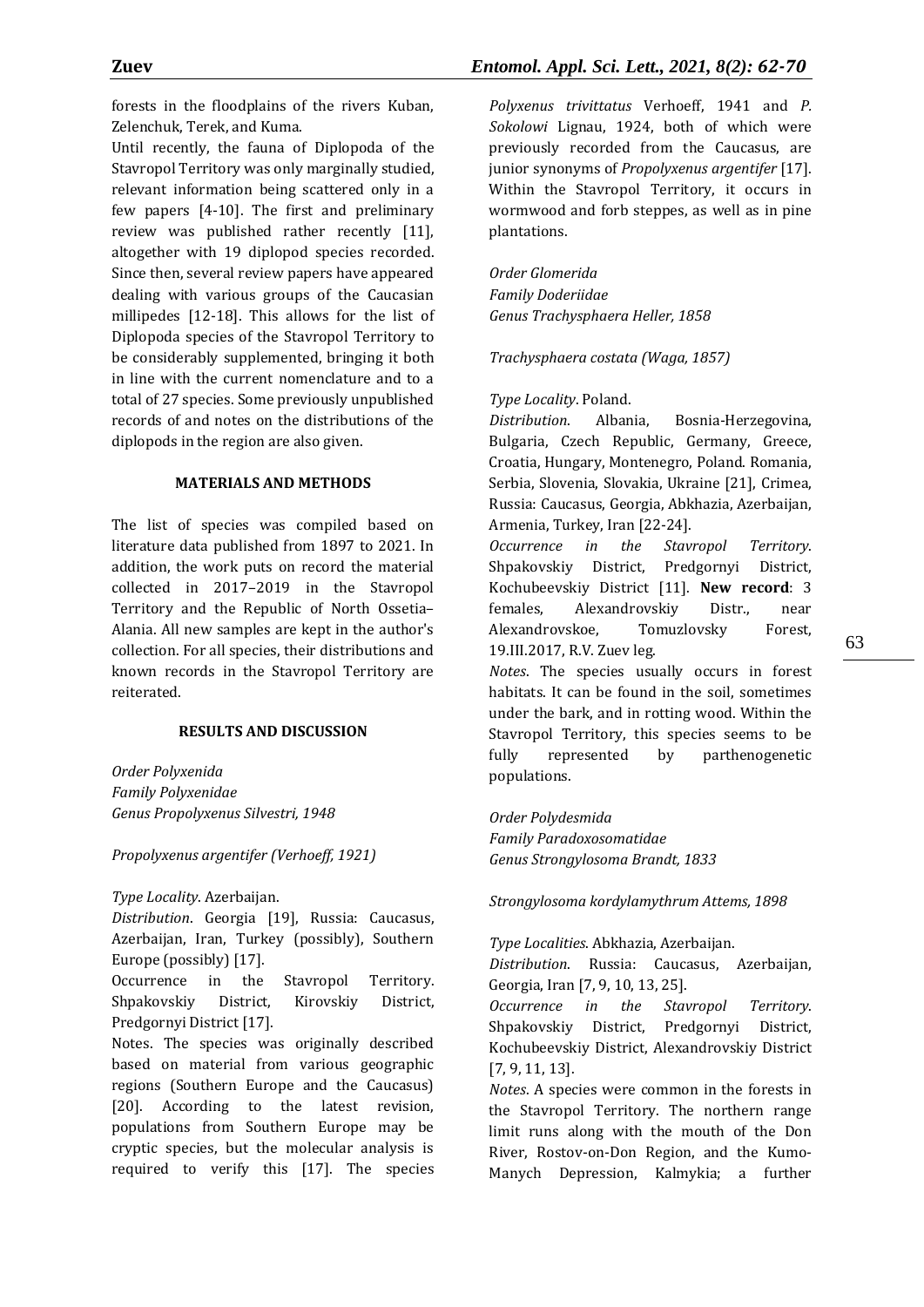forests in the floodplains of the rivers Kuban, Zelenchuk, Terek, and Kuma.

Until recently, the fauna of Diplopoda of the Stavropol Territory was only marginally studied, relevant information being scattered only in a few papers [4-10]. The first and preliminary review was published rather recently [11], altogether with 19 diplopod species recorded. Since then, several review papers have appeared dealing with various groups of the Caucasian millipedes [12-18]. This allows for the list of Diplopoda species of the Stavropol Territory to be considerably supplemented, bringing it both in line with the current nomenclature and to a total of 27 species. Some previously unpublished records of and notes on the distributions of the diplopods in the region are also given.

#### **MATERIALS AND METHODS**

The list of species was compiled based on literature data published from 1897 to 2021. In addition, the work puts on record the material collected in 2017–2019 in the Stavropol Territory and the Republic of North Ossetia– Alania. All new samples are kept in the author's collection. For all species, their distributions and known records in the Stavropol Territory are reiterated.

#### **RESULTS AND DISCUSSION**

*Order Polyxenida Family Polyxenidae Genus Propolyxenus Silvestri, 1948*

*Propolyxenus argentifer (Verhoeff, 1921)*

*Type Locality*. Azerbaijan.

*Distribution*. Georgia [19], Russia: Caucasus, Azerbaijan, Iran, Turkey (possibly), Southern Europe (possibly) [17].

Occurrence in the Stavropol Territory. Shpakovskiy District, Kirovskiy District, Predgornyi District [17].

Notes. The species was originally described based on material from various geographic regions (Southern Europe and the Caucasus) [20]. According to the latest revision, populations from Southern Europe may be cryptic species, but the molecular analysis is required to verify this [17]. The species *Polyxenus trivittatus* Verhoeff, 1941 and *P. Sokolowi* Lignau, 1924, both of which were previously recorded from the Caucasus, are junior synonyms of *Propolyxenus argentifer* [17]. Within the Stavropol Territory, it occurs in wormwood and forb steppes, as well as in pine plantations.

*Order Glomerida Family Doderiidae Genus Trachysphaera Heller, 1858*

*Trachysphaera costata (Waga, 1857)*

*Type Locality*. Poland.

*Distribution*. Albania, Bosnia-Herzegovina, Bulgaria, Czech Republic, Germany, Greece, Croatia, Hungary, Montenegro, Poland. Romania, Serbia, Slovenia, Slovakia, Ukraine [21], Crimea, Russia: Caucasus, Georgia, Abkhazia, Azerbaijan, Armenia, Turkey, Iran [22-24].

*Occurrence in the Stavropol Territory*. Shpakovskiy District, Predgornyi District, Kochubeevskiy District [11]. **New record**: 3 females, Alexandrovskiy Distr., near Alexandrovskoe, Tomuzlovsky Forest, 19.III.2017, R.V. Zuev leg.

*Notes*. The species usually occurs in forest habitats. It can be found in the soil, sometimes under the bark, and in rotting wood. Within the Stavropol Territory, this species seems to be fully represented by parthenogenetic populations.

*Order Polydesmida Family Paradoxosomatidae Genus Strongylosoma Brandt, 1833*

*Strongylosoma kordylamythrum Attems, 1898*

*Type Localities*. Abkhazia, Azerbaijan.

*Distribution*. Russia: Caucasus, Azerbaijan, Georgia, Iran [7, 9, 10, 13, 25].

*Occurrence in the Stavropol Territory*. Shpakovskiy District, Predgornyi District, Kochubeevskiy District, Alexandrovskiy District [7, 9, 11, 13].

*Notes*. A species were common in the forests in the Stavropol Territory. The northern range limit runs along with the mouth of the Don River, Rostov-on-Don Region, and the Kumo-Manych Depression, Kalmykia; a further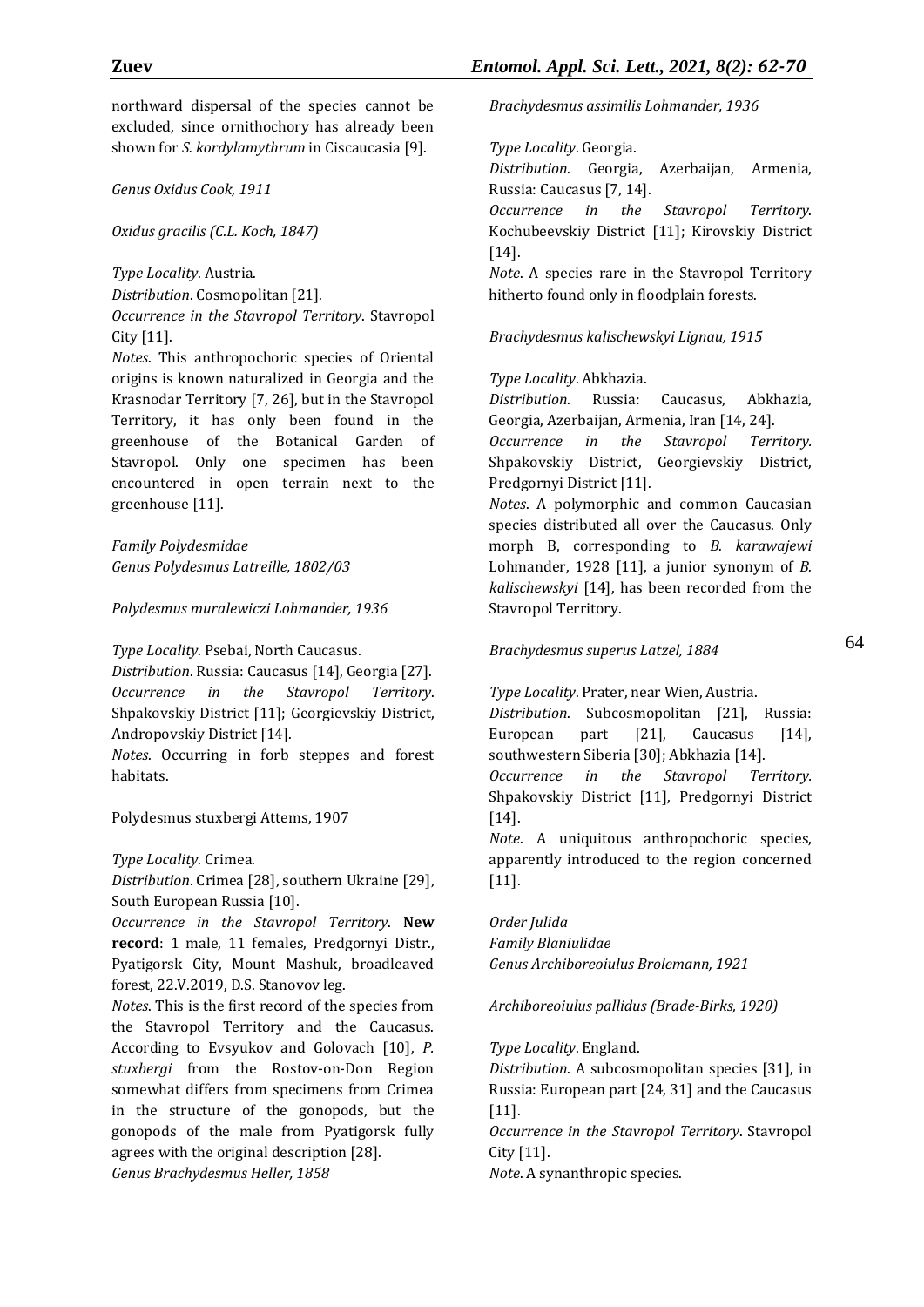northward dispersal of the species cannot be excluded, since ornithochory has already been shown for *S. kordylamythrum* in Ciscaucasia [9].

*Genus Oxidus Cook, 1911*

*Oxidus gracilis (C.L. Koch, 1847)*

*Type Locality*. Austria.

*Distribution*. Cosmopolitan [21].

*Occurrence in the Stavropol Territory*. Stavropol City [11].

*Notes*. This anthropochoric species of Oriental origins is known naturalized in Georgia and the Krasnodar Territory [7, 26], but in the Stavropol Territory, it has only been found in the greenhouse of the Botanical Garden of Stavropol. Only one specimen has been encountered in open terrain next to the greenhouse [11].

*Family Polydesmidae Genus Polydesmus Latreille, 1802/03*

*Polydesmus muralewiczi Lohmander, 1936*

*Type Locality*. Psebai, North Caucasus.

*Distribution*. Russia: Caucasus [14], Georgia [27]. *Occurrence in the Stavropol Territory*. Shpakovskiy District [11]; Georgievskiy District, Andropovskiy District [14].

*Notes*. Occurring in forb steppes and forest habitats.

Polydesmus stuxbergi Attems, 1907

*Type Locality*. Crimea.

*Distribution*. Crimea [28], southern Ukraine [29], South European Russia [10].

*Occurrence in the Stavropol Territory*. **New record**: 1 male, 11 females, Predgornyi Distr., Pyatigorsk City, Mount Mashuk, broadleaved forest, 22.V.2019, D.S. Stanovov leg.

*Notes*. This is the first record of the species from the Stavropol Territory and the Caucasus. According to Evsyukov and Golovach [10], *P. stuxbergi* from the Rostov-on-Don Region somewhat differs from specimens from Crimea in the structure of the gonopods, but the gonopods of the male from Pyatigorsk fully agrees with the original description [28]. *Genus Brachydesmus Heller, 1858*

*Brachydesmus assimilis Lohmander, 1936*

*Type Locality*. Georgia.

*Distribution*. Georgia, Azerbaijan, Armenia, Russia: Caucasus [7, 14].

*Occurrence in the Stavropol Territory*. Kochubeevskiy District [11]; Kirovskiy District [14].

*Note*. A species rare in the Stavropol Territory hitherto found only in floodplain forests.

*Brachydesmus kalischewskyi Lignau, 1915*

*Type Locality*. Abkhazia.

*Distribution*. Russia: Caucasus, Abkhazia, Georgia, Azerbaijan, Armenia, Iran [14, 24].

*Occurrence in the Stavropol Territory.* Shpakovskiy District, Georgievskiy District, Predgornyi District [11].

*Notes*. A polymorphic and common Caucasian species distributed all over the Caucasus. Only morph B, corresponding to *B. karawajewi* Lohmander, 1928 [11], a junior synonym of *B. kalischewskyi* [14], has been recorded from the Stavropol Territory.

*Brachydesmus superus Latzel, 1884*

*Type Locality*. Prater, near Wien, Austria. *Distribution*. Subcosmopolitan [21], Russia:

European part [21], Caucasus [14], southwestern Siberia [30]; Abkhazia [14].

*Occurrence in the Stavropol Territory.* Shpakovskiy District [11], Predgornyi District [14].

*Note*. A uniquitous anthropochoric species, apparently introduced to the region concerned [11].

*Order Julida Family Blaniulidae Genus Archiboreoiulus Brolemann, 1921*

*Archiboreoiulus pallidus (Brade-Birks, 1920)*

*Type Locality*. England.

*Distribution*. A subcosmopolitan species [31], in Russia: European part [24, 31] and the Caucasus [11].

*Occurrence in the Stavropol Territory*. Stavropol City [11].

*Note*. A synanthropic species.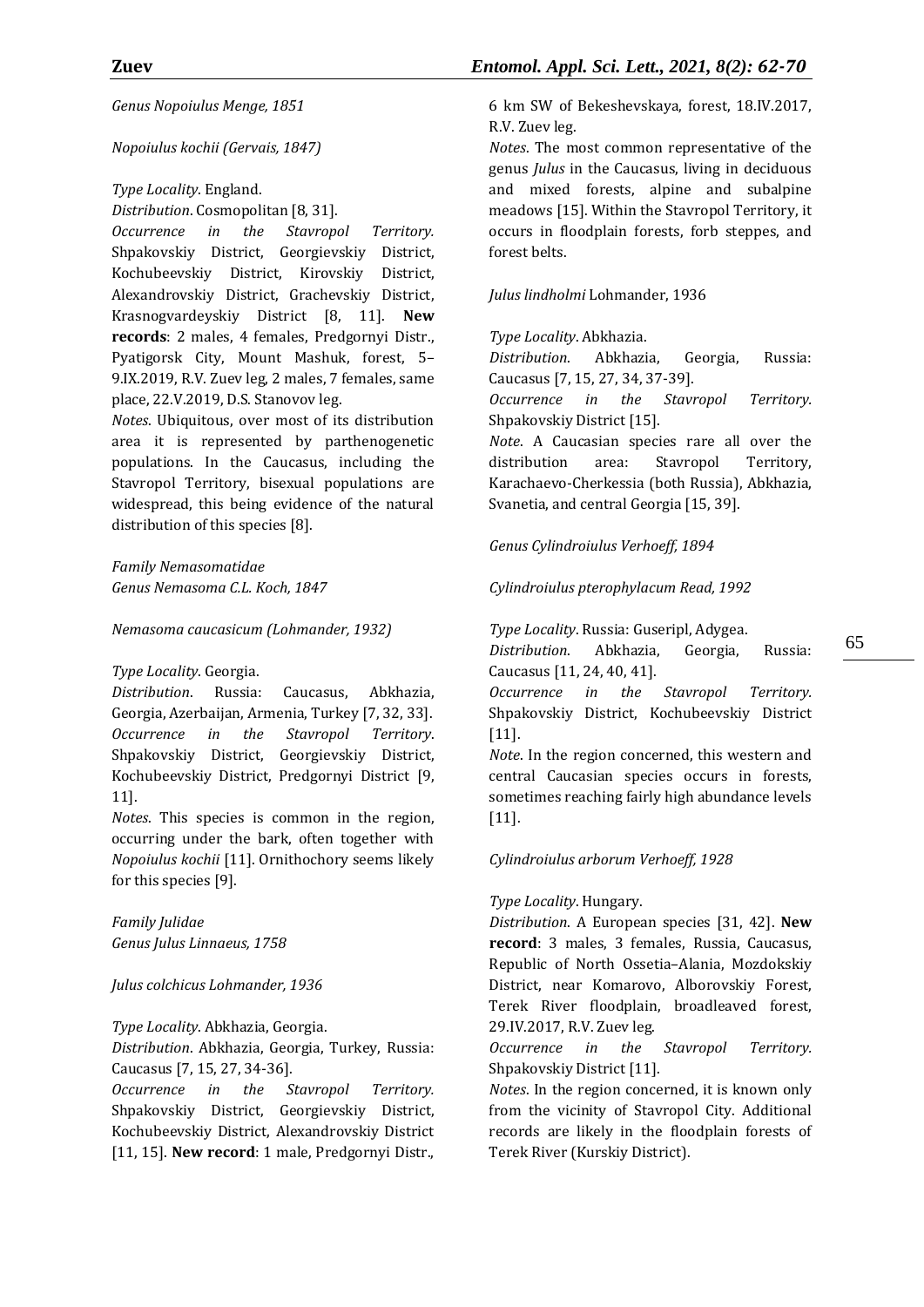*Genus Nopoiulus Menge, 1851*

#### *Nopoiulus kochii (Gervais, 1847)*

*Type Locality*. England.

*Distribution*. Cosmopolitan [8, 31].

*Occurrence in the Stavropol Territory.* Shpakovskiy District, Georgievskiy District, Kochubeevskiy District, Kirovskiy District, Alexandrovskiy District, Grachevskiy District, Krasnogvardeyskiy District [8, 11]. **New records**: 2 males, 4 females, Predgornyi Distr., Pyatigorsk City, Mount Mashuk, forest, 5– 9.IX.2019, R.V. Zuev leg, 2 males, 7 females, same place, 22.V.2019, D.S. Stanovov leg.

*Notes*. Ubiquitous, over most of its distribution area it is represented by parthenogenetic populations. In the Caucasus, including the Stavropol Territory, bisexual populations are widespread, this being evidence of the natural distribution of this species [8].

*Family Nemasomatidae Genus Nemasoma C.L. Koch, 1847*

*Nemasoma caucasicum (Lohmander, 1932)*

*Type Locality*. Georgia.

*Distribution*. Russia: Caucasus, Abkhazia, Georgia, Azerbaijan, Armenia, Turkey [7, 32, 33]. *Occurrence in the Stavropol Territory*. Shpakovskiy District, Georgievskiy District, Kochubeevskiy District, Predgornyi District [9, 11].

*Notes*. This species is common in the region, occurring under the bark, often together with *Nopoiulus kochii* [11]. Ornithochory seems likely for this species [9].

*Family Julidae Genus Julus Linnaeus, 1758*

## *Julus colchicus Lohmander, 1936*

*Type Locality*. Abkhazia, Georgia.

*Distribution*. Abkhazia, Georgia, Turkey, Russia: Caucasus [7, 15, 27, 34-36].

*Occurrence in the Stavropol Territory.* Shpakovskiy District, Georgievskiy District, Kochubeevskiy District, Alexandrovskiy District [11, 15]. **New record**: 1 male, Predgornyi Distr.,

6 km SW of Bekeshevskaya, forest, 18.IV.2017, R.V. Zuev leg.

*Notes*. The most common representative of the genus *Julus* in the Caucasus, living in deciduous and mixed forests, alpine and subalpine meadows [15]. Within the Stavropol Territory, it occurs in floodplain forests, forb steppes, and forest belts.

#### *Julus lindholmi* Lohmander, 1936

*Type Locality*. Abkhazia.

*Distribution*. Abkhazia, Georgia, Russia: Caucasus [7, 15, 27, 34, 37-39].

*Occurrence in the Stavropol Territory.* Shpakovskiy District [15].

*Note*. A Caucasian species rare all over the distribution area: Stavropol Territory, Karachaevo-Cherkessia (both Russia), Abkhazia, Svanetia, and central Georgia [15, 39].

*Genus Cylindroiulus Verhoeff, 1894*

*Cylindroiulus pterophylacum Read, 1992*

*Type Locality*. Russia: Guseripl, Adygea.

Caucasus [11, 24, 40, 41]. *Occurrence in the Stavropol Territory.* Shpakovskiy District, Kochubeevskiy District [11].

*Distribution*. Abkhazia, Georgia, Russia:

*Note*. In the region concerned, this western and central Caucasian species occurs in forests, sometimes reaching fairly high abundance levels [11].

## *Cylindroiulus arborum Verhoeff, 1928*

## *Type Locality*. Hungary.

*Distribution*. A European species [31, 42]. **New record**: 3 males, 3 females, Russia, Caucasus, Republic of North Ossetia–Alania, Mozdokskiy District, near Komarovo, Alborovskiy Forest, Terek River floodplain, broadleaved forest, 29.IV.2017, R.V. Zuev leg.

*Occurrence in the Stavropol Territory.*  Shpakovskiy District [11].

*Notes*. In the region concerned, it is known only from the vicinity of Stavropol City. Additional records are likely in the floodplain forests of Terek River (Kurskiy District).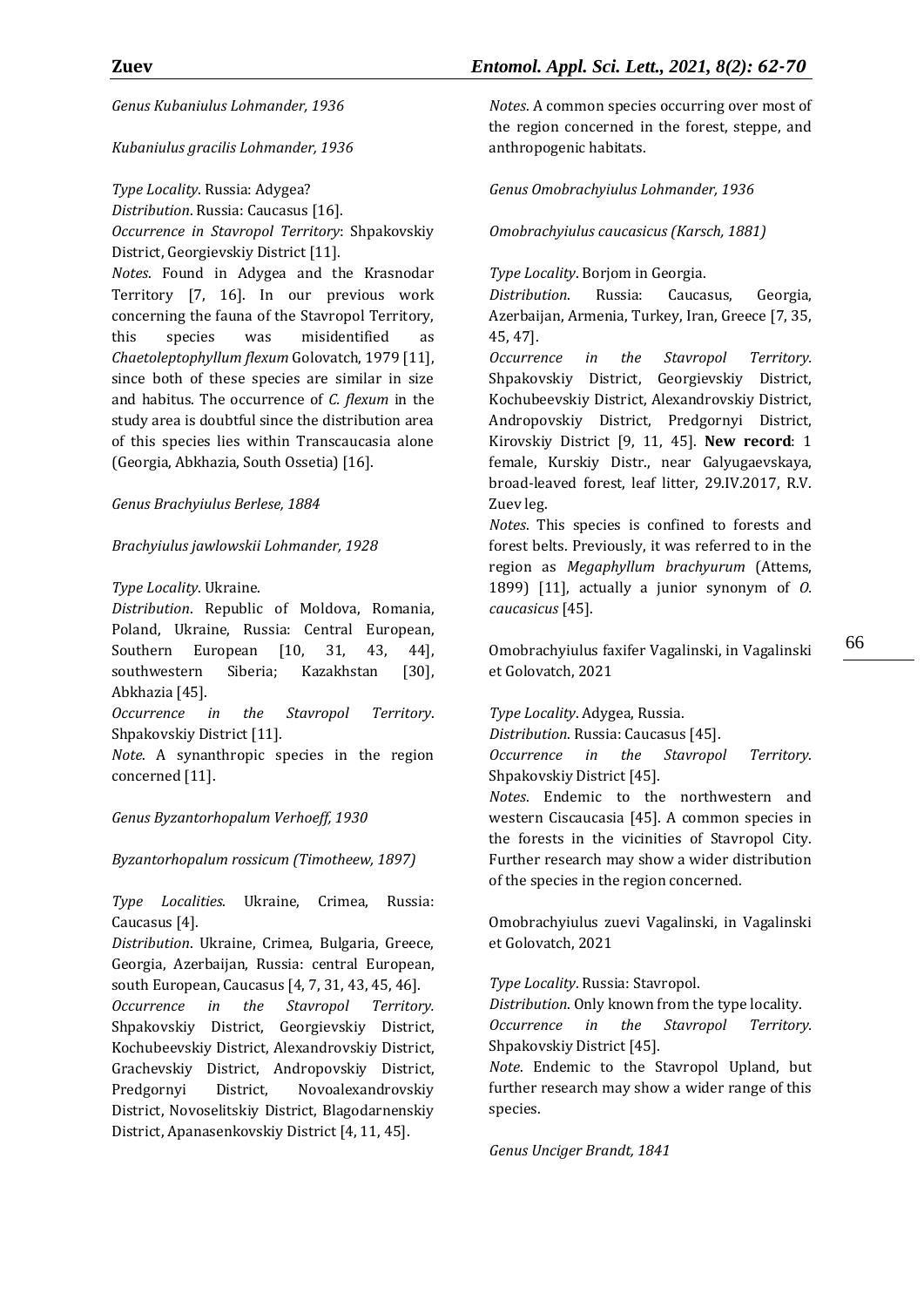*Genus Kubaniulus Lohmander, 1936*

*Kubaniulus gracilis Lohmander, 1936*

*Type Locality*. Russia: Adygea?

*Distribution*. Russia: Caucasus [16]. *Occurrence in Stavropol Territory*: Shpakovskiy District, Georgievskiy District [11].

*Notes*. Found in Adygea and the Krasnodar Territory [7, 16]. In our previous work concerning the fauna of the Stavropol Territory, this species was misidentified as *Chaetoleptophyllum flexum* Golovatch, 1979 [11], since both of these species are similar in size and habitus. The occurrence of *C. flexum* in the study area is doubtful since the distribution area of this species lies within Transcaucasia alone (Georgia, Abkhazia, South Ossetia) [16].

*Genus Brachyiulus Berlese, 1884*

*Brachyiulus jawlowskii Lohmander, 1928*

## *Type Locality*. Ukraine.

*Distribution*. Republic of Moldova, Romania, Poland, Ukraine, Russia: Central European, Southern European [10, 31, 43, 44], southwestern Siberia; Kazakhstan [30], Abkhazia [45].

*Occurrence in the Stavropol Territory*. Shpakovskiy District [11].

*Note*. A synanthropic species in the region concerned [11].

*Genus Byzantorhopalum Verhoeff, 1930*

*Byzantorhopalum rossicum (Timotheew, 1897)*

*Type Localities*. Ukraine, Crimea, Russia: Caucasus [4].

*Distribution*. Ukraine, Crimea, Bulgaria, Greece, Georgia, Azerbaijan, Russia: central European, south European, Caucasus [4, 7, 31, 43, 45, 46].

*Occurrence in the Stavropol Territory.* Shpakovskiy District, Georgievskiy District, Kochubeevskiy District, Alexandrovskiy District, Grachevskiy District, Andropovskiy District, Predgornyi District, Novoalexandrovskiy District, Novoselitskiy District, Blagodarnenskiy District, Apanasenkovskiy District [4, 11, 45].

*Notes*. A common species occurring over most of the region concerned in the forest, steppe, and anthropogenic habitats.

*Genus Omobrachyiulus Lohmander, 1936*

*Omobrachyiulus caucasicus (Karsch, 1881)*

*Type Locality*. Borjom in Georgia.

*Distribution*. Russia: Caucasus, Georgia, Azerbaijan, Armenia, Turkey, Iran, Greece [7, 35, 45, 47].

*Occurrence in the Stavropol Territory.* Shpakovskiy District, Georgievskiy District, Kochubeevskiy District, Alexandrovskiy District, Andropovskiy District, Predgornyi District, Kirovskiy District [9, 11, 45]. **New record**: 1 female, Kurskiy Distr., near Galyugaevskaya, broad-leaved forest, leaf litter, 29.IV.2017, R.V. Zuev leg.

*Notes*. This species is confined to forests and forest belts. Previously, it was referred to in the region as *Megaphyllum brachyurum* (Attems, 1899) [11], actually a junior synonym of *O. caucasicus* [45].

Omobrachyiulus faxifer Vagalinski, in Vagalinski et Golovatch, 2021

*Type Locality*. Adygea, Russia.

*Distribution*. Russia: Caucasus [45].

*Occurrence in the Stavropol Territory*. Shpakovskiy District [45].

*Notes*. Endemic to the northwestern and western Ciscaucasia [45]. A common species in the forests in the vicinities of Stavropol City. Further research may show a wider distribution of the species in the region concerned.

Omobrachyiulus zuevi Vagalinski, in Vagalinski et Golovatch, 2021

*Type Locality*. Russia: Stavropol.

*Distribution*. Only known from the type locality. *Occurrence in the Stavropol Territory.* Shpakovskiy District [45].

*Note*. Endemic to the Stavropol Upland, but further research may show a wider range of this species.

*Genus Unciger Brandt, 1841*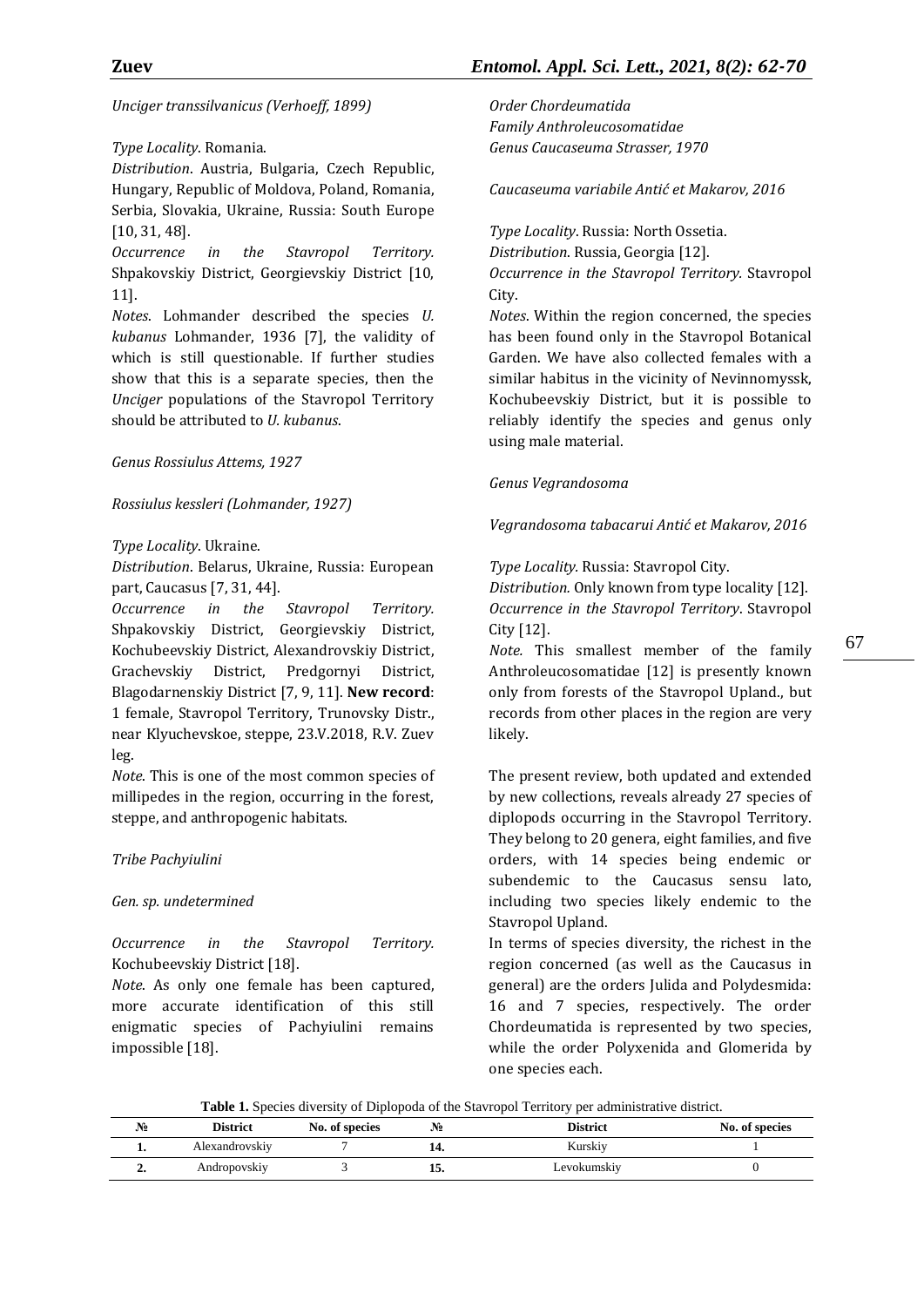*Unciger transsilvanicus (Verhoeff, 1899)*

## *Type Locality*. Romania.

*Distribution*. Austria, Bulgaria, Czech Republic, Hungary, Republic of Moldova, Poland, Romania, Serbia, Slovakia, Ukraine, Russia: South Europe [10, 31, 48].

*Occurrence in the Stavropol Territory.*  Shpakovskiy District, Georgievskiy District [10, 11].

*Notes*. Lohmander described the species *U. kubanus* Lohmander, 1936 [7], the validity of which is still questionable. If further studies show that this is a separate species, then the *Unciger* populations of the Stavropol Territory should be attributed to *U. kubanus*.

## *Genus Rossiulus Attems, 1927*

*Rossiulus kessleri (Lohmander, 1927)*

# *Type Locality*. Ukraine.

*Distribution*. Belarus, Ukraine, Russia: European part, Caucasus [7, 31, 44].

*Occurrence in the Stavropol Territory.* Shpakovskiy District, Georgievskiy District, Kochubeevskiy District, Alexandrovskiy District, Grachevskiy District, Predgornyi District, Blagodarnenskiy District [7, 9, 11]. **New record**: 1 female, Stavropol Territory, Trunovsky Distr., near Klyuchevskoe, steppe, 23.V.2018, R.V. Zuev leg.

*Note*. This is one of the most common species of millipedes in the region, occurring in the forest, steppe, and anthropogenic habitats.

# *Tribe Pachyiulini*

## *Gen. sp. undetermined*

*Occurrence in the Stavropol Territory.* Kochubeevskiy District [18].

*Note*. As only one female has been captured, more accurate identification of this still enigmatic species of Pachyiulini remains impossible [18].

*Order Chordeumatida Family Anthroleucosomatidae Genus Caucaseuma Strasser, 1970*

*Caucaseuma variabile Antić et Makarov, 2016*

*Type Locality*. Russia: North Ossetia.

*Distribution*. Russia, Georgia [12].

*Occurrence in the Stavropol Territory.* Stavropol City.

*Notes*. Within the region concerned, the species has been found only in the Stavropol Botanical Garden. We have also collected females with a similar habitus in the vicinity of Nevinnomyssk, Kochubeevskiy District, but it is possible to reliably identify the species and genus only using male material.

# *Genus Vegrandosoma*

*Vegrandosoma tabacarui Antić et Makarov, 2016*

*Type Locality.* Russia: Stavropol City.

*Distribution.* Only known from type locality [12]. *Occurrence in the Stavropol Territory*. Stavropol City [12].

*Note.* This smallest member of the family Anthroleucosomatidae [12] is presently known only from forests of the Stavropol Upland., but records from other places in the region are very likely.

The present review, both updated and extended by new collections, reveals already 27 species of diplopods occurring in the Stavropol Territory. They belong to 20 genera, eight families, and five orders, with 14 species being endemic or subendemic to the Caucasus sensu lato, including two species likely endemic to the Stavropol Upland.

In terms of species diversity, the richest in the region concerned (as well as the Caucasus in general) are the orders Julida and Polydesmida: 16 and 7 species, respectively. The order Chordeumatida is represented by two species, while the order Polyxenida and Glomerida by one species each.

**Table 1.** Species diversity of Diplopoda of the Stavropol Territory per administrative district.

| No | District       | No. of species | .No | <b>District</b> | No. of species |
|----|----------------|----------------|-----|-----------------|----------------|
|    | Alexandrovskiy |                |     | Kurskiy         |                |
|    | Andropovskiy   |                | ⊥J. | Levokumskiy     |                |

67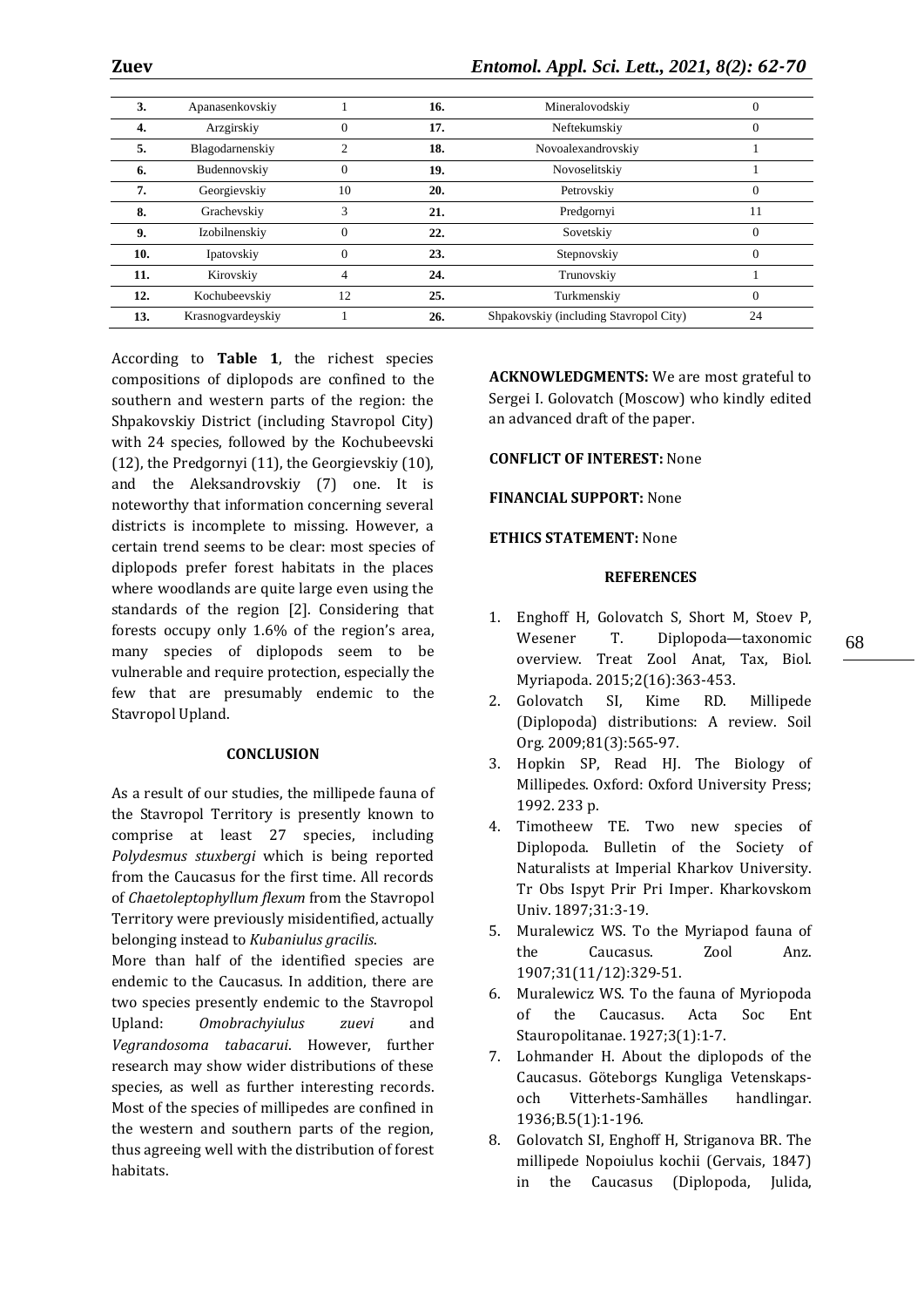| 3.  | Apanasenkovskiy   |          | 16. | Mineralovodskiy                        | 0        |
|-----|-------------------|----------|-----|----------------------------------------|----------|
| 4.  | Arzgirskiy        |          | 17. | Neftekumskiy                           |          |
| 5.  | Blagodarnenskiy   | ↑        | 18. | Novoalexandrovskiy                     |          |
| 6.  | Budennovskiy      | $\Omega$ | 19. | Novoselitskiy                          |          |
| 7.  | Georgievskiy      | 10       | 20. | Petrovskiy                             | 0        |
| 8.  | Grachevskiy       | 3        | 21. | Predgornyi                             | 11       |
| 9.  | Izobilnenskiy     | $\Omega$ | 22. | Sovetskiy                              | $\Omega$ |
| 10. | Ipatovskiy        | $\Omega$ | 23. | Stepnovskiy                            | $\Omega$ |
| 11. | Kirovskiy         |          | 24. | Trunovskiy                             |          |
| 12. | Kochubeevskiy     | 12       | 25. | Turkmenskiy                            | 0        |
| 13. | Krasnogvardeyskiy |          | 26. | Shpakovskiy (including Stavropol City) | 24       |

According to **Table 1**, the richest species compositions of diplopods are confined to the southern and western parts of the region: the Shpakovskiy District (including Stavropol City) with 24 species, followed by the Kochubeevski (12), the Predgornyi (11), the Georgievskiy (10), and the Aleksandrovskiy (7) one. It is noteworthy that information concerning several districts is incomplete to missing. However, a certain trend seems to be clear: most species of diplopods prefer forest habitats in the places where woodlands are quite large even using the standards of the region [2]. Considering that forests occupy only 1.6% of the region's area, many species of diplopods seem to be vulnerable and require protection, especially the few that are presumably endemic to the Stavropol Upland.

#### **CONCLUSION**

As a result of our studies, the millipede fauna of the Stavropol Territory is presently known to comprise at least 27 species, including *Polydesmus stuxbergi* which is being reported from the Caucasus for the first time. All records of *Chaetoleptophyllum flexum* from the Stavropol Territory were previously misidentified, actually belonging instead to *Kubaniulus gracilis*.

More than half of the identified species are endemic to the Caucasus. In addition, there are two species presently endemic to the Stavropol Upland: *Omobrachyiulus zuevi* and *Vegrandosoma tabacarui*. However, further research may show wider distributions of these species, as well as further interesting records. Most of the species of millipedes are confined in the western and southern parts of the region, thus agreeing well with the distribution of forest habitats.

**ACKNOWLEDGMENTS:** We are most grateful to Sergei I. Golovatch (Moscow) who kindly edited an advanced draft of the paper.

#### **CONFLICT OF INTEREST:** None

#### **FINANCIAL SUPPORT:** None

#### **ETHICS STATEMENT:** None

#### **REFERENCES**

- 1. Enghoff H, Golovatch S, Short M, Stoev P, Wesener T. Diplopoda—taxonomic overview. Treat Zool Anat, Tax, Biol. Myriapoda. 2015;2(16):363-453.
- 2. Golovatch SI, Kime RD. Millipede (Diplopoda) distributions: A review. Soil Org. 2009;81(3):565-97.
- 3. Hopkin SP, Read HJ. The Biology of Millipedes. Oxford: Oxford University Press; 1992. 233 p.
- 4. Timotheew TE. Two new species of Diplopoda. Bulletin of the Society of Naturalists at Imperial Kharkov University. Tr Obs Ispyt Prir Pri Imper. Kharkovskom Univ. 1897;31:3-19.
- 5. Muralewicz WS. To the Myriapod fauna of the Caucasus. Zool Anz. 1907;31(11/12):329-51.
- 6. Muralewicz WS. To the fauna of Myriopoda of the Caucasus. Acta Soc Ent Stauropolitanae. 1927;3(1):1-7.
- 7. Lohmander H. About the diplopods of the Caucasus. Göteborgs Kungliga Vetenskapsoch Vitterhets-Samhälles handlingar. 1936;B.5(1):1-196.
- 8. Golovatch SI, Enghoff H, Striganova BR. The millipede Nopoiulus kochii (Gervais, 1847) in the Caucasus (Diplopoda, Julida,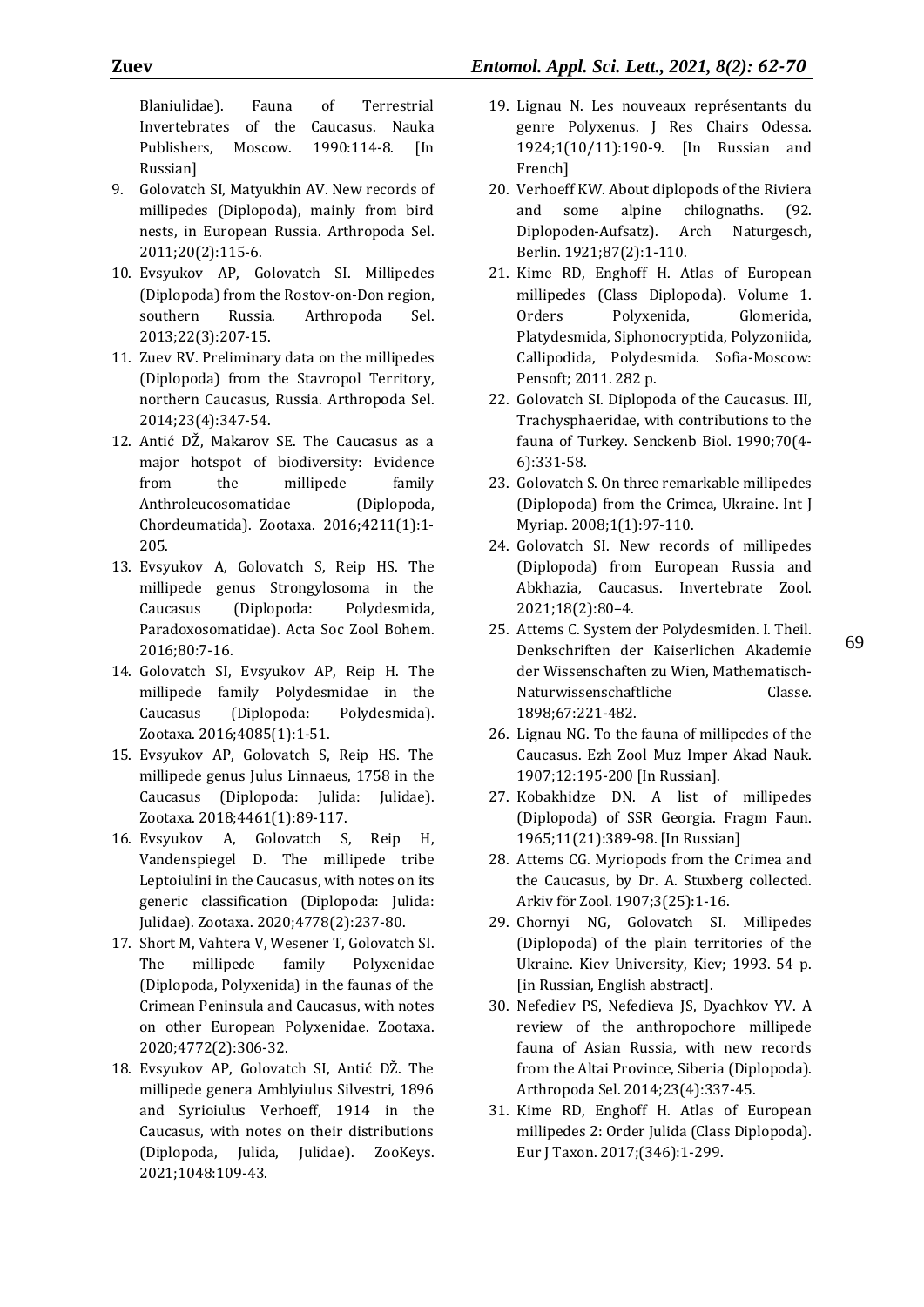Blaniulidae). Fauna of Terrestrial Invertebrates of the Caucasus. Nauka Publishers, Moscow. 1990:114-8. [In Russian]

- 9. Golovatch SI, Matyukhin AV. New records of millipedes (Diplopoda), mainly from bird nests, in European Russia. Arthropoda Sel. 2011;20(2):115-6.
- 10. Evsyukov AP, Golovatch SI. Millipedes (Diplopoda) from the Rostov-on-Don region, southern Russia. Arthropoda Sel. 2013;22(3):207-15.
- 11. Zuev RV. Preliminary data on the millipedes (Diplopoda) from the Stavropol Territory, northern Caucasus, Russia. Arthropoda Sel. 2014;23(4):347-54.
- 12. Antić DŽ, Makarov SE. The Caucasus as a major hotspot of biodiversity: Evidence from the millipede family Anthroleucosomatidae (Diplopoda, Chordeumatida). Zootaxa. 2016;4211(1):1- 205.
- 13. Evsyukov A, Golovatch S, Reip HS. The millipede genus Strongylosoma in the Caucasus (Diplopoda: Polydesmida, Paradoxosomatidae). Acta Soc Zool Bohem. 2016;80:7-16.
- 14. Golovatch SI, Evsyukov AP, Reip H. The millipede family Polydesmidae in the Caucasus (Diplopoda: Polydesmida). Zootaxa. 2016;4085(1):1-51.
- 15. Evsyukov AP, Golovatch S, Reip HS. The millipede genus Julus Linnaeus, 1758 in the Caucasus (Diplopoda: Julida: Julidae). Zootaxa. 2018;4461(1):89-117.
- 16. Evsyukov A, Golovatch S, Reip H, Vandenspiegel D. The millipede tribe Leptoiulini in the Caucasus, with notes on its generic classification (Diplopoda: Julida: Julidae). Zootaxa. 2020;4778(2):237-80.
- 17. Short M, Vahtera V, Wesener T, Golovatch SI. The millipede family Polyxenidae (Diplopoda, Polyxenida) in the faunas of the Crimean Peninsula and Caucasus, with notes on other European Polyxenidae. Zootaxa. 2020;4772(2):306-32.
- 18. Evsyukov AP, Golovatch SI, Antić DŽ. The millipede genera Amblyiulus Silvestri, 1896 and Syrioiulus Verhoeff, 1914 in the Caucasus, with notes on their distributions (Diplopoda, Julida, Julidae). ZooKeys. 2021;1048:109-43.
- 19. Lignau N. Les nouveaux représentants du genre Polyxenus. J Res Chairs Odessa. 1924;1(10/11):190-9. [In Russian and French]
- 20. Verhoeff KW. About diplopods of the Riviera and some alpine chilognaths. (92. Diplopoden-Aufsatz). Arch Naturgesch, Berlin. 1921;87(2):1-110.
- 21. Kime RD, Enghoff H. Atlas of European millipedes (Class Diplopoda). Volume 1. Orders Polyxenida, Glomerida, Platydesmida, Siphonocryptida, Polyzoniida, Callipodida, Polydesmida. Sofia-Moscow: Pensoft; 2011. 282 p.
- 22. Golovatch SI. Diplopoda of the Caucasus. III, Trachysphaeridae, with contributions to the fauna of Turkey. Senckenb Biol. 1990;70(4- 6):331-58.
- 23. Golovatch S. On three remarkable millipedes (Diplopoda) from the Crimea, Ukraine. Int J Myriap. 2008;1(1):97-110.
- 24. Golovatch SI. New records of millipedes (Diplopoda) from European Russia and Abkhazia, Caucasus. Invertebrate Zool. 2021;18(2):80–4.
- 25. Attems C. System der Polydesmiden. I. Theil. Denkschriften der Kaiserlichen Akademie der Wissenschaften zu Wien, Mathematisch-Naturwissenschaftliche Classe. 1898;67:221-482.
- 26. Lignau NG. To the fauna of millipedes of the Caucasus. Ezh Zool Muz Imper Akad Nauk. 1907;12:195-200 [In Russian].
- 27. Kobakhidze DN. A list of millipedes (Diplopoda) of SSR Georgia. Fragm Faun. 1965;11(21):389-98. [In Russian]
- 28. Attems CG. Myriopods from the Crimea and the Caucasus, by Dr. A. Stuxberg collected. Arkiv för Zool. 1907;3(25):1-16.
- 29. Chornyi NG, Golovatch SI. Millipedes (Diplopoda) of the plain territories of the Ukraine. Kiev University, Kiev; 1993. 54 p. [in Russian, English abstract].
- 30. Nefediev PS, Nefedieva JS, Dyachkov YV. A review of the anthropochore millipede fauna of Asian Russia, with new records from the Altai Province, Siberia (Diplopoda). Arthropoda Sel. 2014;23(4):337-45.
- 31. Kime RD, Enghoff H. Atlas of European millipedes 2: Order Julida (Class Diplopoda). Eur J Taxon. 2017;(346):1-299.

69